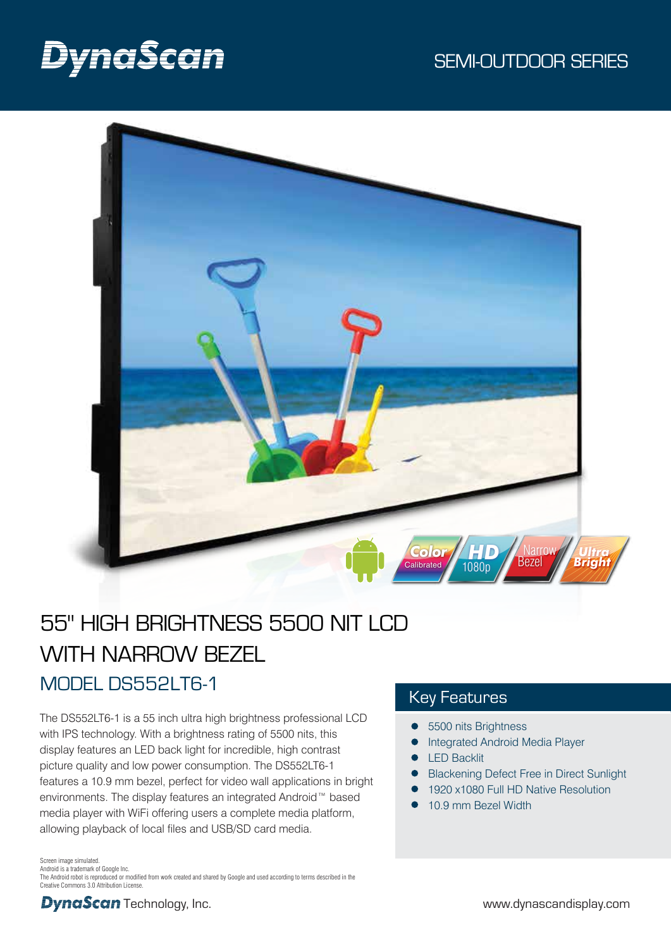# DynaScan



# 55" HIGH BRIGHTNESS 5500 NIT LCD WITH NARROW BEZEL MODEL DS552LT6-1

The DS552LT6-1 is a 55 inch ultra high brightness professional LCD with IPS technology. With a brightness rating of 5500 nits, this display features an LED back light for incredible, high contrast picture quality and low power consumption. The DS552LT6-1 features a 10.9 mm bezel, perfect for video wall applications in bright environments. The display features an integrated Android™ based media player with WiFi offering users a complete media platform, allowing playback of local files and USB/SD card media.

# Key Features

- 5500 nits Brightness
- Integrated Android Media Player
- LED Backlit
- Blackening Defect Free in Direct Sunlight
- 1920 x1080 Full HD Native Resolution
- 10.9 mm Bezel Width

Screen image simulated.

Android is a trademark of Google Inc. The Android robot is reproduced or modified from work created and shared by Google and used according to terms described in the Creative Commons 3.0 Attribution License.

**DynaScan** Technology, Inc. example the state of the state of the www.dynascandisplay.com